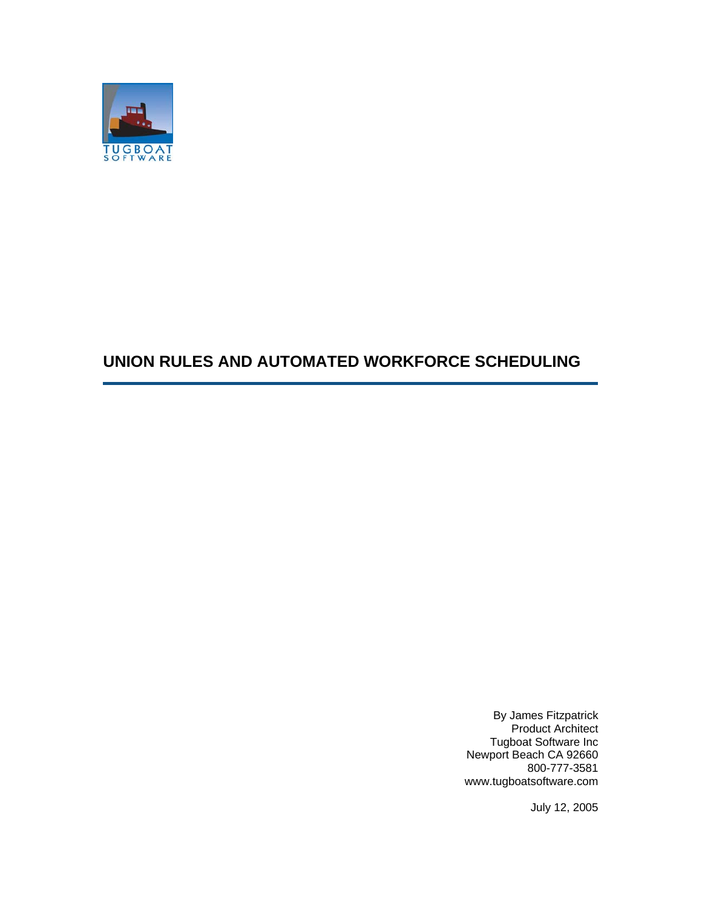

## **UNION RULES AND AUTOMATED WORKFORCE SCHEDULING**

By James Fitzpatrick Product Architect Tugboat Software Inc Newport Beach CA 92660 800-777-3581 www.tugboatsoftware.com

July 12, 2005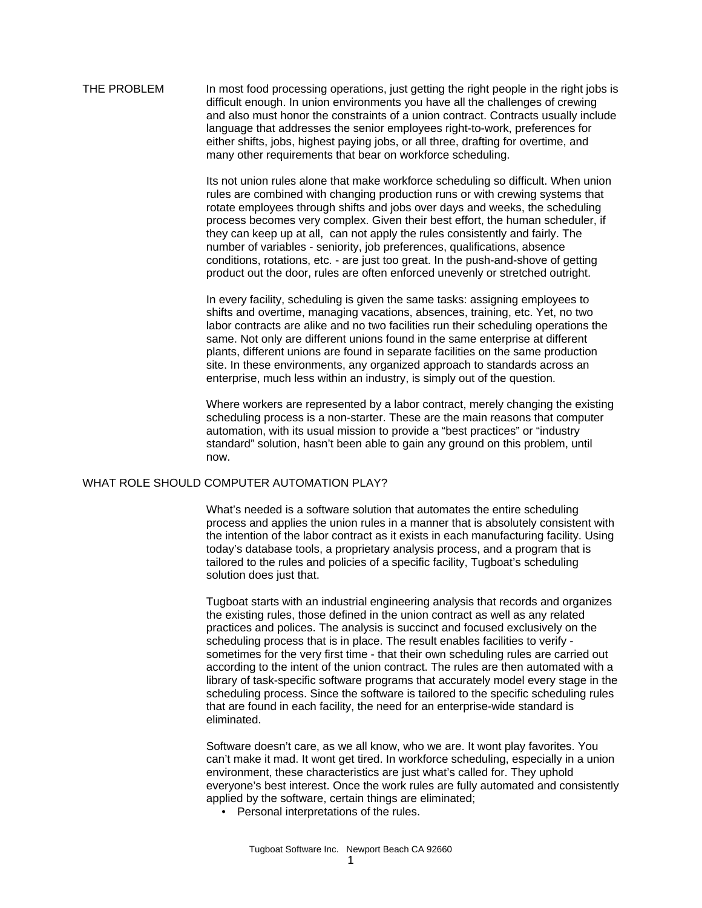THE PROBLEM In most food processing operations, just getting the right people in the right jobs is difficult enough. In union environments you have all the challenges of crewing and also must honor the constraints of a union contract. Contracts usually include language that addresses the senior employees right-to-work, preferences for either shifts, jobs, highest paying jobs, or all three, drafting for overtime, and many other requirements that bear on workforce scheduling.

> Its not union rules alone that make workforce scheduling so difficult. When union rules are combined with changing production runs or with crewing systems that rotate employees through shifts and jobs over days and weeks, the scheduling process becomes very complex. Given their best effort, the human scheduler, if they can keep up at all, can not apply the rules consistently and fairly. The number of variables - seniority, job preferences, qualifications, absence conditions, rotations, etc. - are just too great. In the push-and-shove of getting product out the door, rules are often enforced unevenly or stretched outright.

In every facility, scheduling is given the same tasks: assigning employees to shifts and overtime, managing vacations, absences, training, etc. Yet, no two labor contracts are alike and no two facilities run their scheduling operations the same. Not only are different unions found in the same enterprise at different plants, different unions are found in separate facilities on the same production site. In these environments, any organized approach to standards across an enterprise, much less within an industry, is simply out of the question.

Where workers are represented by a labor contract, merely changing the existing scheduling process is a non-starter. These are the main reasons that computer automation, with its usual mission to provide a "best practices" or "industry standard" solution, hasn't been able to gain any ground on this problem, until now.

## WHAT ROLE SHOULD COMPUTER AUTOMATION PLAY?

What's needed is a software solution that automates the entire scheduling process and applies the union rules in a manner that is absolutely consistent with the intention of the labor contract as it exists in each manufacturing facility. Using today's database tools, a proprietary analysis process, and a program that is tailored to the rules and policies of a specific facility, Tugboat's scheduling solution does just that.

Tugboat starts with an industrial engineering analysis that records and organizes the existing rules, those defined in the union contract as well as any related practices and polices. The analysis is succinct and focused exclusively on the scheduling process that is in place. The result enables facilities to verify sometimes for the very first time - that their own scheduling rules are carried out according to the intent of the union contract. The rules are then automated with a library of task-specific software programs that accurately model every stage in the scheduling process. Since the software is tailored to the specific scheduling rules that are found in each facility, the need for an enterprise-wide standard is eliminated.

Software doesn't care, as we all know, who we are. It wont play favorites. You can't make it mad. It wont get tired. In workforce scheduling, especially in a union environment, these characteristics are just what's called for. They uphold everyone's best interest. Once the work rules are fully automated and consistently applied by the software, certain things are eliminated;

• Personal interpretations of the rules.